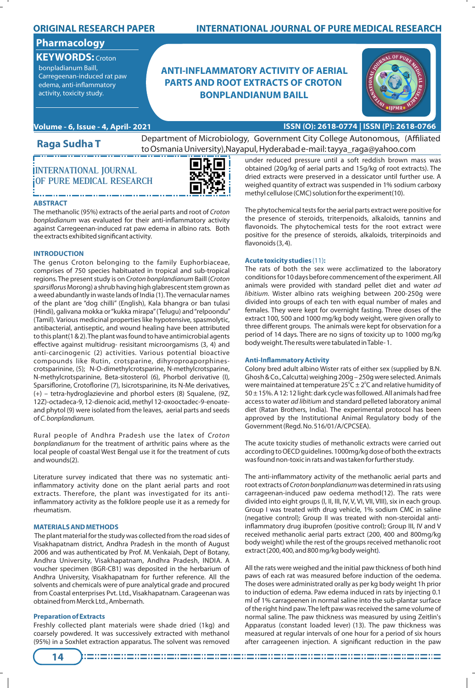## **ORIGINAL RESEARCH PAPER**

# **Pharmacology**

**KEYWORDS:** Croton

bonpladianum Baill, Carregeenan-induced rat paw edema, anti-inflammatory activity, toxicity study.

# **INTERNATIONAL JOURNAL OF PURE MEDICAL RESEARCH**

# **ANTI-INFLAMMATORY ACTIVITY OF AERIAL PARTS AND ROOT EXTRACTS OF CROTON BONPLANDIANUM BAILL**



## **Volume - 6, Issue - 4, April- 2021 ISSN (O): 2618-0774 | ISSN (P): 2618-0766**

**INTERNATIONAL JOURNAL OF PURE MEDICAL RESEARCH**

**Raga Sudha T**

Department of Microbiology, Government City College Autonomous, (Affiliated to Osmania University),Nayapul, Hyderabad e-mail: tayya\_raga@yahoo.com



### **ABSTRACT**

The methanolic (95%) extracts of the aerial parts and root of Croton bonpladianum was evaluated for their anti-inflammatory activity against Carregeenan-induced rat paw edema in albino rats. Both the extracts exhibited significant activity.

### **INTRODUCTION**

The genus Croton belonging to the family Euphorbiaceae, comprises of 750 species habituated in tropical and sub-tropical regions. The present study is on Croton bonplandianum Baill (Croton sparsiflorus Morong) a shrub having high glabrescent stem grown as a weed abundantly in waste lands of India (1). The vernacular names of the plant are "dog chilli" (English), Kala bhangra or ban tulasi (Hindi), galivana mokka or "kukka mirapa"(Telugu) and "relpoondu" (Tamil). Various medicinal properties like hypotensive, spasmolytic, antibacterial, antiseptic, and wound healing have been attributed to this plant(1 & 2). The plant was found to have antimicrobial agents effective against multidrug- resisitant microorgamisms (3, 4) and anti-carcinogenic (2) activities. Various potential bioactive compounds like Rutin, crotsparine, dihyroproaporphinescrotsparinine, (5); N-O-dimethylcrotsparine, N-methylcrotsparine, N-methylcrotsparinine, Beta-sitosterol (6), Phorbol derivative (I), Sparsiflorine, Crotoflorine (7), Isicrotsparinine, its N-Me derivatives, (+) – tetra-hydroglazievine and phorbol esters (8) Squalene, (9Z, 12Z)-octadeca-9, 12-dienoic acid, methyl 12-oxooctadec-9-enoateand phytol (9) were isolated from the leaves, aerial parts and seeds of C. bonplandianum.

Rural people of Andhra Pradesh use the latex of Croton bonplandianum for the treatment of arthritic pains where as the local people of coastal West Bengal use it for the treatment of cuts and wounds(2).

Literature survey indicated that there was no systematic antiinflammatory activity done on the plant aerial parts and root extracts. Therefore, the plant was investigated for its antiinflammatory activity as the folklore people use it as a remedy for rheumatism.

#### **MATERIALS AND METHODS**

The plant material for the study was collected from the road sides of Visakhapatnam district, Andhra Pradesh in the month of August 2006 and was authenticated by Prof. M. Venkaiah, Dept of Botany, Andhra University, Visakhapatnam, Andhra Pradesh, INDIA. A voucher specimen (BGR-CB1) was deposited in the herbarium of Andhra University, Visakhapatnam for further reference. All the solvents and chemicals were of pure analytical grade and procured from Coastal enterprises Pvt. Ltd., Visakhapatnam. Carageenan was obtained from Merck Ltd., Ambernath.

#### **Preparation of Extracts**

Freshly collected plant materials were shade dried (1kg) and coarsely powdered. It was successively extracted with methanol (95%) in a Soxhlet extraction apparatus. The solvent was removed

under reduced pressure until a soft reddish brown mass was obtained (20g/kg of aerial parts and 15g/kg of root extracts). The dried extracts were preserved in a dessicator until further use. A weighed quantity of extract was suspended in 1% sodium carboxy methyl cellulose (CMC) solution for the experiment(10).

The phytochemical tests for the aerial parts extract were positive for the presence of steroids, triterpenoids, alkaloids, tannins and flavonoids. The phytochemical tests for the root extract were positive for the presence of steroids, alkaloids, triterpinoids and flavonoids (3,4).

#### **Acute toxicity studies** (11)**:**

The rats of both the sex were acclimatized to the laboratory conditions for 10 days before commencement of the experiment. All animals were provided with standard pellet diet and water ad libitium. Wister albino rats weighing between 200-250g were divided into groups of each ten with equal number of males and females. They were kept for overnight fasting. Three doses of the extract 100, 500 and 1000 mg/kg body weight, were given orally to three different groups. The animals were kept for observation for a period of 14 days. There are no signs of toxicity up to 1000 mg/kg body weight. The results were tabulated in Table- 1.

#### **Anti-Inflammatory Activity**

Colony bred adult albino Wister rats of either sex (supplied by B.N. Ghosh & Co., Calcutta) weighing 200g – 250g were selected. Animals were maintained at temperature  $25^{\circ}C \pm 2^{\circ}C$  and relative humidity of  $50 \pm 15$ %. A 12: 12 light: dark cycle was followed. All animals had free access to water ad libitium and standard pelleted laboratory animal diet (Ratan Brothers, India). The experimental protocol has been approved by the Institutional Animal Regulatory body of the Government (Regd. No. 516/01/A/CPCSEA).

The acute toxicity studies of methanolic extracts were carried out according to OECD guidelines. 1000mg/kg dose of both the extracts was found non-toxic in rats and was taken for further study.

The anti-inflammatory activity of the methanolic aerial parts and root extracts of Croton bonplandianum was determined in rats using carrageenan-induced paw oedema method(12). The rats were divided into eight groups (I, II, III, IV, V, VI, VII, VIII), six in each group. Group I was treated with drug vehicle, 1% sodium CMC in saline (negative control); Group II was treated with non-steroidal antiinflammatory drug ibuprofen (positive control); Group III, IV and V received methanolic aerial parts extract (200, 400 and 800mg/kg body weight) while the rest of the groups received methanolic root extract (200, 400, and 800 mg/kg body weight).

All the rats were weighed and the initial paw thickness of both hind paws of each rat was measured before induction of the oedema. The doses were administrated orally as per kg body weight 1h prior to induction of edema. Paw edema induced in rats by injecting 0.1 ml of 1% carrageenen in normal saline into the sub-plantar surface of the right hind paw. The left paw was received the same volume of normal saline. The paw thickness was measured by using Zeitlin's Apparatus (constant loaded lever) (13). The paw thickness was measured at regular intervals of one hour for a period of six hours after carrageenen injection. A significant reduction in the paw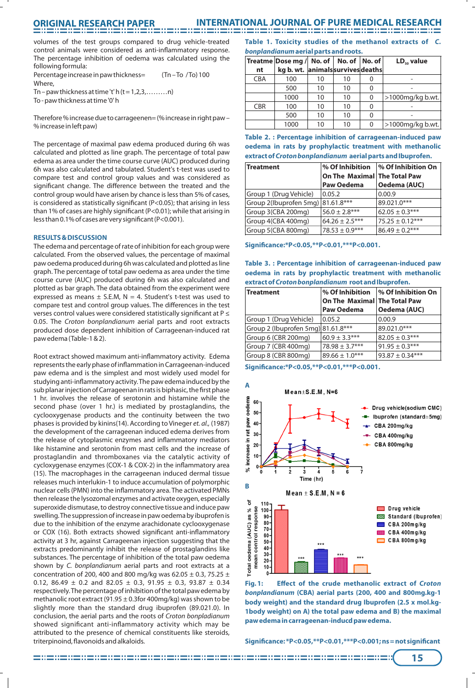# **ORIGINAL RESEARCH PAPER**

## **INTERNATIONAL JOURNAL OF PURE MEDICAL RESEARCH**

volumes of the test groups compared to drug vehicle-treated control animals were considered as anti-inflammatory response. The percentage inhibition of oedema was calculated using the following formula:

Percentage increase in paw thickness= (Tn-To /To) 100 Where,

Tn – paw thickness at time 't' h  $(t = 1, 2, 3, \ldots, n)$ To - paw thickness at time '0' h

Therefore % increase due to carrageenen= (% increase in right paw – % increase in left paw)

The percentage of maximal paw edema produced during 6h was calculated and plotted as line graph. The percentage of total paw edema as area under the time course curve (AUC) produced during 6h was also calculated and tabulated. Student's t-test was used to compare test and control group values and was considered as significant change. The difference between the treated and the control group would have arisen by chance is less than 5% of cases, is considered as statistically significant (P<0.05); that arising in less than 1% of cases are highly significant ( $P < 0.01$ ); while that arising in less than 0.1% of cases are very significant (P<0.001).

#### **RESULTS & DISCUSSION**

The edema and percentage of rate of inhibition for each group were calculated. From the observed values, the percentage of maximal paw oedema produced during 6h was calculated and plotted as line graph. The percentage of total paw oedema as area under the time course curve (AUC) produced during 6h was also calculated and plotted as bar graph. The data obtained from the experiment were expressed as means  $\pm$  S.E.M, N = 4. Student's t-test was used to compare test and control group values. The differences in the test verses control values were considered statistically significant at  $P \leq$ 0.05. The Croton bonplandianum aerial parts and root extracts produced dose dependent inhibition of Carrageenan-induced rat paw edema (Table-1 & 2).

Root extract showed maximum anti-inflammatory activity. Edema represents the early phase of inflammation in Carrageenan-induced paw edema and is the simplest and most widely used model for studying anti-inflammatory activity. The paw edema induced by the sub planar injection of Carrageenan in rats is biphasic, the first phase 1 hr. involves the release of serotonin and histamine while the second phase (over 1 hr.) is mediated by prostaglandins, the cyclooxygenase products and the continuity between the two phases is provided by kinins(14). According to Vineger et. al., (1987) the development of the carrageenan induced edema derives from the release of cytoplasmic enzymes and inflammatory mediators like histamine and serotonin from mast cells and the increase of prostaglandin and thromboxanes via the catalytic activity of cycloxygenase enzymes (COX-1 & COX-2) in the inflammatory area (15). The macrophages in the carrageenan induced dermal tissue releases much interlukin-1 to induce accumulation of polymorphic nuclear cells (PMN) into the inflammatory area. The activated PMNs then release the lysozomal enzymes and activate oxygen, especially superoxide dismutase, to destroy connective tissue and induce paw swelling. The suppression of increase in paw oedema by ibuprofen is due to the inhibition of the enzyme arachidonate cyclooxygenase or COX (16). Both extracts showed significant anti-inflammatory activity at 3 hr, against Carrageenan injection suggesting that the extracts predominantly inhibit the release of prostaglandins like substances. The percentage of inhibition of the total paw oedema shown by C. bonplandianum aerial parts and root extracts at a concentration of 200, 400 and 800 mg/kg was 62.05  $\pm$  0.3, 75.25  $\pm$ 0.12, 86.49  $\pm$  0.2 and 82.05  $\pm$  0.3, 91.95  $\pm$  0.3, 93.87  $\pm$  0.34 respectively. The percentage of inhibition of the total paw edema by methanolic root extract (91.95  $\pm$  0.3for 400mg/kg) was shown to be slightly more than the standard drug ibuprofen (89.021.0). In conclusion, the aerial parts and the roots of Croton bonpladianum showed significant anti-inflammatory activity which may be attributed to the presence of chemical constituents like steroids, triterpinoind, flavonoids and alkaloids.

**Table 1. Toxicity studies of the methanol extracts of C. bonplandianum aerial parts and roots.**

|            | Treatme   Dose mg / No. of      |    | No. of No. of |   | $LD_{50}$ value  |
|------------|---------------------------------|----|---------------|---|------------------|
| nt         | kg b. wt. animalssurvivesdeaths |    |               |   |                  |
| <b>CBA</b> | 100                             | 10 | 10            |   |                  |
|            | 500                             | 10 | 10            |   |                  |
|            | 1000                            | 10 | 10            | 0 | >1000mg/kg b.wt. |
| <b>CBR</b> | 100                             | 10 | 10            | 0 |                  |
|            | 500                             | 10 | 10            | 0 |                  |
|            | 1000                            | 10 | 10            | 0 | >1000mg/kg b.wt. |

**Table 2. : Percentage inhibition of carrageenan-induced paw oedema in rats by prophylactic treatment with methanolic extract of Croton bonplandianum aerial parts and Ibuprofen.**

| Treatment                         | % Of Inhibition              | <b>% Of Inhibition On</b> |
|-----------------------------------|------------------------------|---------------------------|
|                                   | On The Maximal The Total Paw |                           |
|                                   | <b>Paw Oedema</b>            | Oedema (AUC)              |
| Group 1 (Drug Vehicle)            | 0.05.2                       | 0.00.9                    |
| Group 2(Ibuprofen 5mg) 81.61.8*** |                              | 89.021.0***               |
| Group 3(CBA 200mg)                | $56.0 \pm 2.8***$            | $62.05 \pm 0.3***$        |
| Group 4(CBA 400mg)                | $64.26 \pm 2.5***$           | $75.25 \pm 0.12***$       |
| Group 5(CBA 800mg)                | $78.53 \pm 0.9***$           | $86.49 \pm 0.2***$        |

**Signicance:\*P<0.05,\*\*P<0.01,\*\*\*P<0.001.**

|                                                     |  |  |  | Table 3.: Percentage inhibition of carrageenan-induced paw |  |  |
|-----------------------------------------------------|--|--|--|------------------------------------------------------------|--|--|
|                                                     |  |  |  | oedema in rats by prophylactic treatment with methanolic   |  |  |
| extract of Croton bonplandianum root and Ibuprofen. |  |  |  |                                                            |  |  |

| Treatment                          | % Of Inhibition<br>On The Maximal The Total Paw | % Of Inhibition On  |  |
|------------------------------------|-------------------------------------------------|---------------------|--|
|                                    | Paw Oedema                                      | Oedema (AUC)        |  |
| Group 1 (Drug Vehicle)             | 0.05.2                                          | 0.00.9              |  |
| Group 2 (Ibuprofen 5mg) 81.61.8*** |                                                 | 89.021.0***         |  |
| Group 6 (CBR 200mg)                | $60.9 \pm 3.3***$                               | $82.05 \pm 0.3***$  |  |
| Group 7 (CBR 400mg)                | $78.98 \pm 3.7***$                              | $91.95 \pm 0.3***$  |  |
| Group 8 (CBR 800mg)                | $89.66 \pm 1.0***$                              | $93.87 \pm 0.34***$ |  |

**Signicance:\*P<0.05,\*\*P<0.01,\*\*\*P<0.001.**



**Fig. 1: Effect of the crude methanolic extract of Croton bonplandianum (CBA) aerial parts (200, 400 and 800mg.kg-1 body weight) and the standard drug Ibuprofen (2.5 x mol.kg-1body weight) on A) the total paw edema and B) the maximal paw edema in carrageenan-inducd paw edema.**

**Signicance: \*P<0.05,\*\*P<0.01,\*\*\*P<0.001; ns = not signicant**

**15**